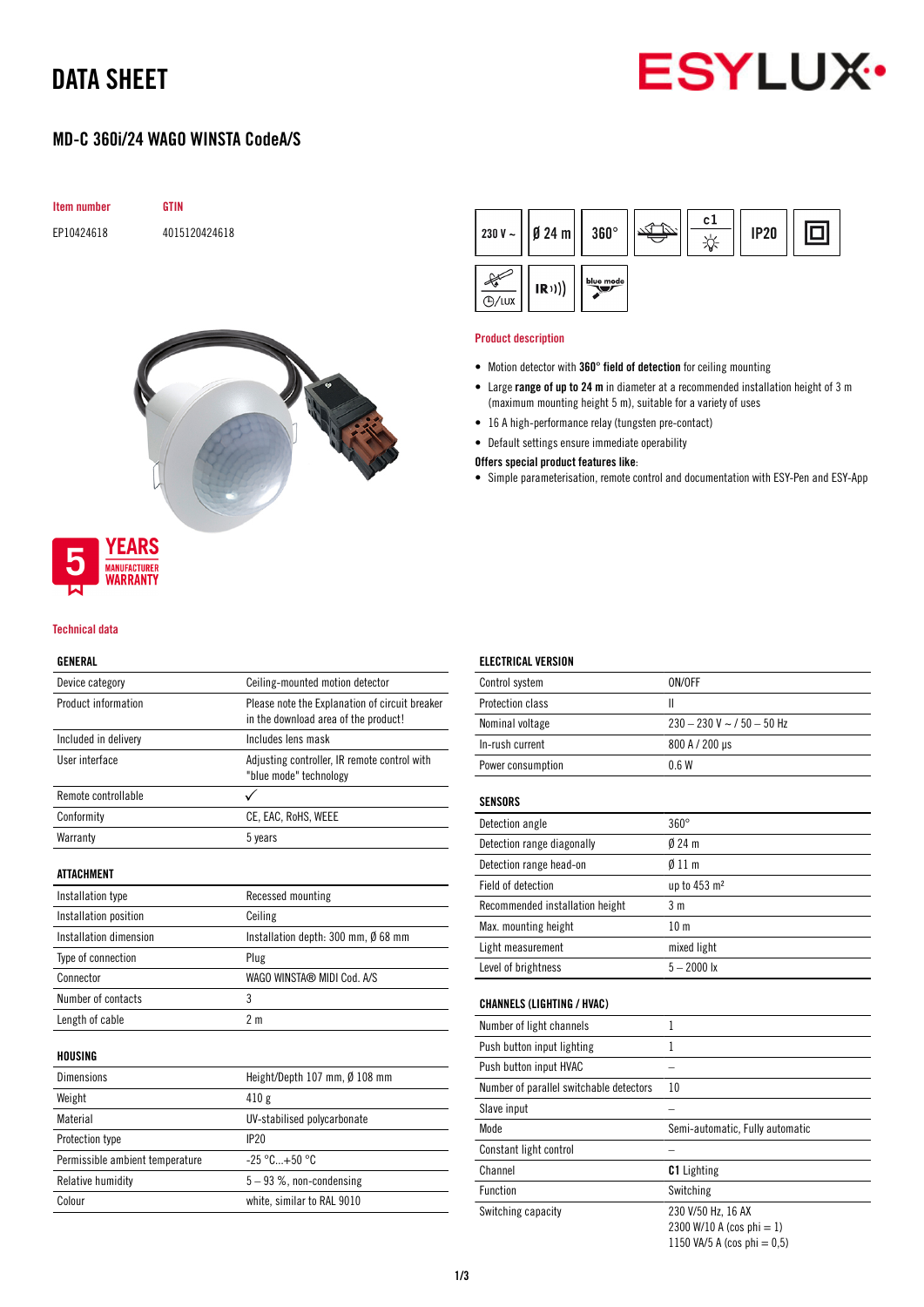## DATA SHEET



## MD-C 360i/24 WAGO WINSTA CodeA/S





# WARRANTY

**YEARS MANUFACTURER** 

### Technical data

### GENERAL

| Device category                 | Ceiling-mounted motion detector                                                        |  |
|---------------------------------|----------------------------------------------------------------------------------------|--|
| Product information             | Please note the Explanation of circuit breaker<br>in the download area of the product! |  |
| Included in delivery            | Includes lens mask                                                                     |  |
| User interface                  | Adjusting controller, IR remote control with<br>"blue mode" technology                 |  |
| Remote controllable             | ✓                                                                                      |  |
| Conformity                      | CE, EAC, RoHS, WEEE                                                                    |  |
| Warranty                        | 5 years                                                                                |  |
| <b>ATTACHMENT</b>               |                                                                                        |  |
| Installation type               | Recessed mounting                                                                      |  |
| Installation position           | Ceiling                                                                                |  |
| Installation dimension          | Installation depth: 300 mm, Ø 68 mm                                                    |  |
| Type of connection              | Plug                                                                                   |  |
| Connector                       | WAGO WINSTA® MIDI Cod. A/S                                                             |  |
| Number of contacts              | 3                                                                                      |  |
| Length of cable                 | 2 <sub>m</sub>                                                                         |  |
| HOUSING                         |                                                                                        |  |
| <b>Dimensions</b>               | Height/Depth 107 mm, Ø 108 mm                                                          |  |
| Weight                          | 410g                                                                                   |  |
| Material                        | UV-stabilised polycarbonate                                                            |  |
| Protection type                 | IP20                                                                                   |  |
| Permissible ambient temperature | $-25 °C+50 °C$                                                                         |  |
| Relative humidity               | $5 - 93$ %, non-condensing                                                             |  |
| Colour                          | white, similar to RAL 9010                                                             |  |

|              | $230 V \sim  $   Ø 24 m     360° |           | c1 | <b>IP20</b> |  |
|--------------|----------------------------------|-----------|----|-------------|--|
| <b>D/LUX</b> | (R))                             | blue mode |    |             |  |

#### Product description

- Motion detector with 360° field of detection for ceiling mounting
- Large range of up to 24 m in diameter at a recommended installation height of 3 m (maximum mounting height 5 m), suitable for a variety of uses
- 16 A high-performance relay (tungsten pre-contact)
- Default settings ensure immediate operability

#### Offers special product features like:

• Simple parameterisation, remote control and documentation with ESY-Pen and ESY-App

| <b>ELECTRICAL VERSION</b>               |                                                                                   |
|-----------------------------------------|-----------------------------------------------------------------------------------|
| Control system                          | ON/OFF                                                                            |
| Protection class                        | $\mathsf{II}$                                                                     |
| Nominal voltage                         | $230 - 230$ V ~ $/50 - 50$ Hz                                                     |
| In-rush current                         | 800 A / 200 µs                                                                    |
| Power consumption                       | 0.6W                                                                              |
| <b>SENSORS</b>                          |                                                                                   |
| Detection angle                         | $360^\circ$                                                                       |
| Detection range diagonally              | $024$ m                                                                           |
| Detection range head-on                 | $\emptyset$ 11 m                                                                  |
| Field of detection                      | up to 453 m <sup>2</sup>                                                          |
| Recommended installation height         | 3m                                                                                |
| Max. mounting height                    | 10 <sub>m</sub>                                                                   |
| Light measurement                       | mixed light                                                                       |
| Level of brightness                     | $5 - 2000$ lx                                                                     |
| <b>CHANNELS (LIGHTING / HVAC)</b>       |                                                                                   |
| Number of light channels                | $\mathbf{1}$                                                                      |
| Push button input lighting              | $\mathbf{1}$                                                                      |
| Push button input HVAC                  |                                                                                   |
| Number of parallel switchable detectors | 10                                                                                |
| Slave input                             |                                                                                   |
| Mode                                    | Semi-automatic, Fully automatic                                                   |
| Constant light control                  |                                                                                   |
| Channel                                 | <b>C1</b> Lighting                                                                |
| Function                                | Switching                                                                         |
| Switching capacity                      | 230 V/50 Hz, 16 AX<br>2300 W/10 A (cos phi = 1)<br>1150 VA/5 A (cos phi = $0,5$ ) |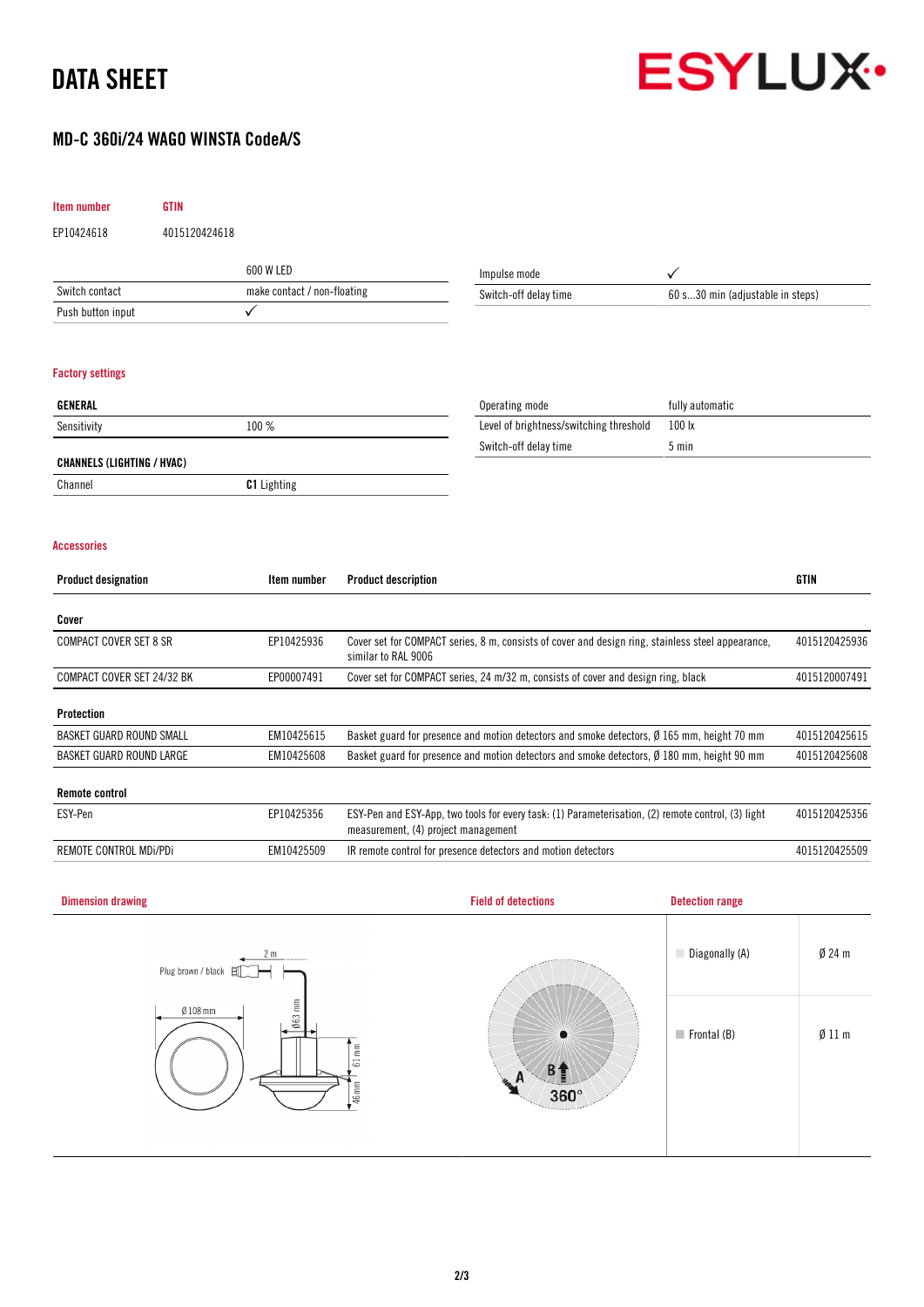## DATA SHEET



Frontal (B) Ø 11 m

## MD-C 360i/24 WAGO WINSTA CodeA/S

| Item number                       | <b>GTIN</b>        |                             |                                                                                                                                                            |                                                                                                   |                                  |               |
|-----------------------------------|--------------------|-----------------------------|------------------------------------------------------------------------------------------------------------------------------------------------------------|---------------------------------------------------------------------------------------------------|----------------------------------|---------------|
| EP10424618                        | 4015120424618      |                             |                                                                                                                                                            |                                                                                                   |                                  |               |
|                                   |                    | 600 W LED                   |                                                                                                                                                            | Impulse mode                                                                                      | ✓                                |               |
| Switch contact                    |                    | make contact / non-floating |                                                                                                                                                            | Switch-off delay time                                                                             | 60 s30 min (adjustable in steps) |               |
| Push button input                 |                    | $\checkmark$                |                                                                                                                                                            |                                                                                                   |                                  |               |
|                                   |                    |                             |                                                                                                                                                            |                                                                                                   |                                  |               |
| <b>Factory settings</b>           |                    |                             |                                                                                                                                                            |                                                                                                   |                                  |               |
| GENERAL                           |                    |                             |                                                                                                                                                            | Operating mode                                                                                    | fully automatic                  |               |
| Sensitivity                       |                    | 100 %                       |                                                                                                                                                            | Level of brightness/switching threshold                                                           | 100 lx                           |               |
|                                   |                    |                             |                                                                                                                                                            | Switch-off delay time                                                                             | 5 min                            |               |
| <b>CHANNELS (LIGHTING / HVAC)</b> |                    |                             |                                                                                                                                                            |                                                                                                   |                                  |               |
| Channel                           |                    | C1 Lighting                 |                                                                                                                                                            |                                                                                                   |                                  |               |
|                                   |                    |                             |                                                                                                                                                            |                                                                                                   |                                  |               |
| <b>Accessories</b>                |                    |                             |                                                                                                                                                            |                                                                                                   |                                  |               |
| <b>Product designation</b>        |                    | Item number                 | <b>Product description</b>                                                                                                                                 |                                                                                                   |                                  | <b>GTIN</b>   |
| Cover                             |                    |                             |                                                                                                                                                            |                                                                                                   |                                  |               |
| <b>COMPACT COVER SET 8 SR</b>     |                    | EP10425936                  | similar to RAL 9006                                                                                                                                        | Cover set for COMPACT series, 8 m, consists of cover and design ring, stainless steel appearance, |                                  | 4015120425936 |
| COMPACT COVER SET 24/32 BK        |                    | EP00007491                  | Cover set for COMPACT series, 24 m/32 m, consists of cover and design ring, black                                                                          |                                                                                                   | 4015120007491                    |               |
| <b>Protection</b>                 |                    |                             |                                                                                                                                                            |                                                                                                   |                                  |               |
| BASKET GUARD ROUND SMALL          |                    | EM10425615                  |                                                                                                                                                            | Basket guard for presence and motion detectors and smoke detectors, Ø 165 mm, height 70 mm        |                                  | 4015120425615 |
| BASKET GUARD ROUND LARGE          |                    | EM10425608                  | Basket guard for presence and motion detectors and smoke detectors, Ø 180 mm, height 90 mm                                                                 |                                                                                                   |                                  | 4015120425608 |
| <b>Remote control</b>             |                    |                             |                                                                                                                                                            |                                                                                                   |                                  |               |
| ESY-Pen                           |                    | EP10425356                  | ESY-Pen and ESY-App, two tools for every task: (1) Parameterisation, (2) remote control, (3) light<br>4015120425356<br>measurement, (4) project management |                                                                                                   |                                  |               |
| REMOTE CONTROL MDi/PDi            |                    | EM10425509                  | 4015120425509<br>IR remote control for presence detectors and motion detectors                                                                             |                                                                                                   |                                  |               |
|                                   |                    |                             |                                                                                                                                                            |                                                                                                   |                                  |               |
| <b>Dimension drawing</b>          |                    |                             |                                                                                                                                                            | <b>Field of detections</b>                                                                        | <b>Detection range</b>           |               |
|                                   |                    |                             |                                                                                                                                                            |                                                                                                   |                                  |               |
|                                   |                    | 2 m                         |                                                                                                                                                            |                                                                                                   | Diagonally (A)                   | $Ø$ 24 m      |
|                                   | Plug brown / black |                             |                                                                                                                                                            |                                                                                                   |                                  |               |

| Plug brown / black $\Xi$ |                                       |
|--------------------------|---------------------------------------|
| $063$ mm<br>$Ø108$ mm    |                                       |
| E<br>5                   |                                       |
| ▰<br>46 mm               | n.<br>360°<br>The company of the U.S. |
|                          |                                       |